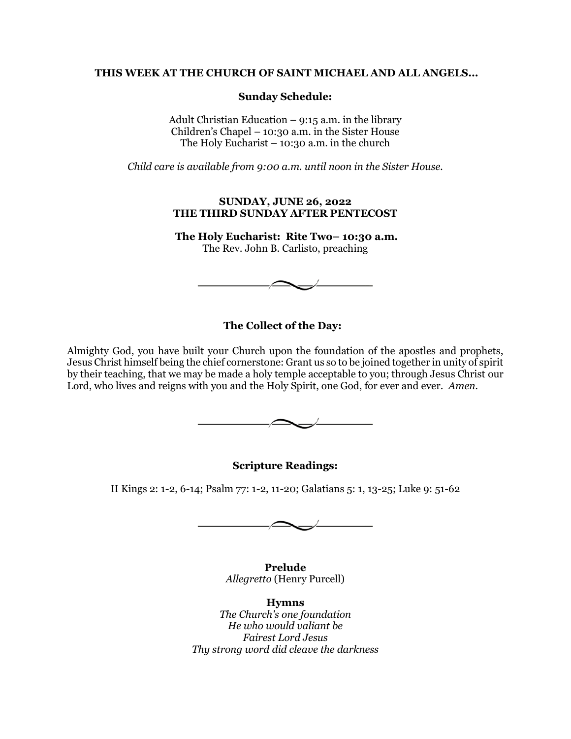### **THIS WEEK AT THE CHURCH OF SAINT MICHAEL AND ALL ANGELS...**

### **Sunday Schedule:**

Adult Christian Education – 9:15 a.m. in the library Children's Chapel – 10:30 a.m. in the Sister House The Holy Eucharist  $-10:30$  a.m. in the church

*Child care is available from 9:00 a.m. until noon in the Sister House.*

#### **SUNDAY, JUNE 26, 2022 THE THIRD SUNDAY AFTER PENTECOST**

**The Holy Eucharist: Rite Two– 10:30 a.m.** The Rev. John B. Carlisto, preaching



# **The Collect of the Day:**

Almighty God, you have built your Church upon the foundation of the apostles and prophets, Jesus Christ himself being the chief cornerstone: Grant us so to be joined together in unity of spirit by their teaching, that we may be made a holy temple acceptable to you; through Jesus Christ our Lord, who lives and reigns with you and the Holy Spirit, one God, for ever and ever. *Amen.*



**Scripture Readings:**

II Kings 2: 1-2, 6-14; Psalm 77: 1-2, 11-20; Galatians 5: 1, 13-25; Luke 9: 51-62



**Prelude** *Allegretto* (Henry Purcell)

**Hymns** *The Church's one foundation He who would valiant be Fairest Lord Jesus Thy strong word did cleave the darkness*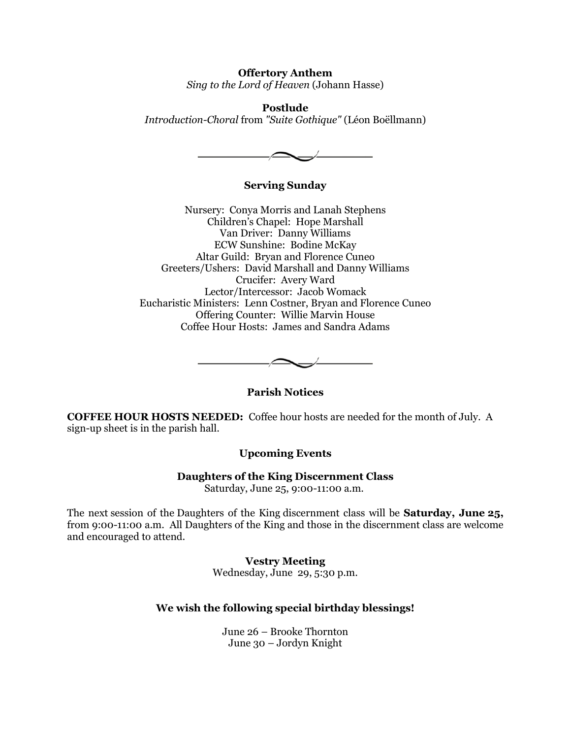**Offertory Anthem** *Sing to the Lord of Heaven* (Johann Hasse)

**Postlude** *Introduction-Choral* from *"Suite Gothique"* (Léon Boëllmann)



# **Serving Sunday**

Nursery: Conya Morris and Lanah Stephens Children's Chapel: Hope Marshall Van Driver: Danny Williams ECW Sunshine: Bodine McKay Altar Guild: Bryan and Florence Cuneo Greeters/Ushers: David Marshall and Danny Williams Crucifer: Avery Ward Lector/Intercessor: Jacob Womack Eucharistic Ministers: Lenn Costner, Bryan and Florence Cuneo Offering Counter: Willie Marvin House Coffee Hour Hosts: James and Sandra Adams



# **Parish Notices**

**COFFEE HOUR HOSTS NEEDED:** Coffee hour hosts are needed for the month of July. A sign-up sheet is in the parish hall.

# **Upcoming Events**

**Daughters of the King Discernment Class**

Saturday, June 25, 9:00-11:00 a.m.

The next session of the Daughters of the King discernment class will be **Saturday, June 25,** from 9:00-11:00 a.m. All Daughters of the King and those in the discernment class are welcome and encouraged to attend.

# **Vestry Meeting**

Wednesday, June 29, 5:30 p.m.

# **We wish the following special birthday blessings!**

June 26 – Brooke Thornton June 30 – Jordyn Knight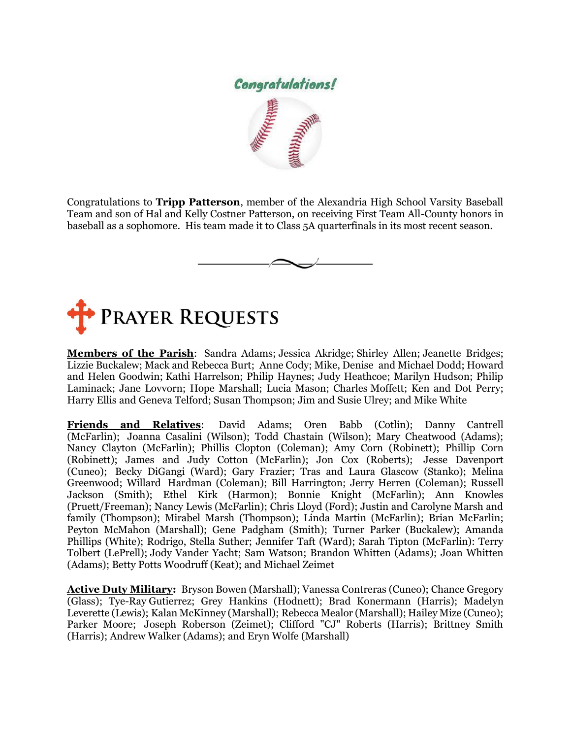

Congratulations to **Tripp Patterson**, member of the Alexandria High School Varsity Baseball Team and son of Hal and Kelly Costner Patterson, on receiving First Team All-County honors in baseball as a sophomore. His team made it to Class 5A quarterfinals in its most recent season.





**Members of the Parish**: Sandra Adams; Jessica Akridge; Shirley Allen; Jeanette Bridges; Lizzie Buckalew; Mack and Rebecca Burt; Anne Cody; Mike, Denise and Michael Dodd; Howard and Helen Goodwin; Kathi Harrelson; Philip Haynes; Judy Heathcoe; Marilyn Hudson; Philip Laminack; Jane Lovvorn; Hope Marshall; Lucia Mason; Charles Moffett; Ken and Dot Perry; Harry Ellis and Geneva Telford; Susan Thompson; Jim and Susie Ulrey; and Mike White

**Friends and Relatives**: David Adams; Oren Babb (Cotlin); Danny Cantrell (McFarlin); Joanna Casalini (Wilson); Todd Chastain (Wilson); Mary Cheatwood (Adams); Nancy Clayton (McFarlin); Phillis Clopton (Coleman); Amy Corn (Robinett); Phillip Corn (Robinett); James and Judy Cotton (McFarlin); Jon Cox (Roberts); Jesse Davenport (Cuneo); Becky DiGangi (Ward); Gary Frazier; Tras and Laura Glascow (Stanko); Melina Greenwood; Willard Hardman (Coleman); Bill Harrington; Jerry Herren (Coleman); Russell Jackson (Smith); Ethel Kirk (Harmon); Bonnie Knight (McFarlin); Ann Knowles (Pruett/Freeman); Nancy Lewis (McFarlin); Chris Lloyd (Ford); Justin and Carolyne Marsh and family (Thompson); Mirabel Marsh (Thompson); Linda Martin (McFarlin); Brian McFarlin; Peyton McMahon (Marshall); Gene Padgham (Smith); Turner Parker (Buckalew); Amanda Phillips (White); Rodrigo, Stella Suther; Jennifer Taft (Ward); Sarah Tipton (McFarlin): Terry Tolbert (LePrell); Jody Vander Yacht; Sam Watson; Brandon Whitten (Adams); Joan Whitten (Adams); Betty Potts Woodruff (Keat); and Michael Zeimet

**Active Duty Military:** Bryson Bowen (Marshall); Vanessa Contreras (Cuneo); Chance Gregory (Glass); Tye-Ray Gutierrez; Grey Hankins (Hodnett); Brad Konermann (Harris); Madelyn Leverette (Lewis); Kalan McKinney (Marshall); Rebecca Mealor (Marshall); Hailey Mize (Cuneo); Parker Moore; Joseph Roberson (Zeimet); Clifford "CJ" Roberts (Harris); Brittney Smith (Harris); Andrew Walker (Adams); and Eryn Wolfe (Marshall)